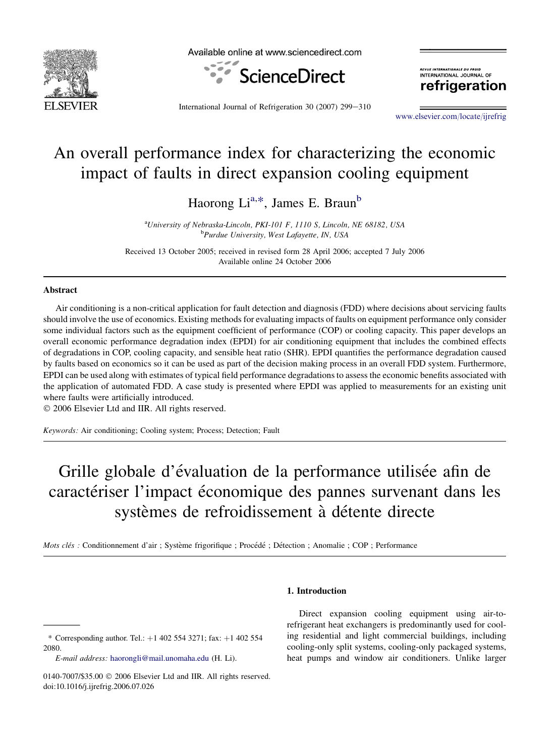

Available online at www.sciencedirect.com



**REVUE INTERNATIONALE DU FROIL** INTERNATIONAL JOURNAL OF refrigeration

International Journal of Refrigeration 30  $(2007)$  299-310

[www.elsevier.com/locate/ijrefrig](http://www.elsevier.com/locate/ijrefrig)

## An overall performance index for characterizing the economic impact of faults in direct expansion cooling equipment

Haorong Li<sup>a,\*</sup>, James E. Braun<sup>b</sup>

a<br>
University of Nebraska-Lincoln, PKI-101 F, 1110 S, Lincoln, NE 68182, USA<br>
b Purdue University West Lafayette, IN USA <sup>b</sup>Purdue University, West Lafayette, IN, USA

Received 13 October 2005; received in revised form 28 April 2006; accepted 7 July 2006 Available online 24 October 2006

## Abstract

Air conditioning is a non-critical application for fault detection and diagnosis (FDD) where decisions about servicing faults should involve the use of economics. Existing methods for evaluating impacts of faults on equipment performance only consider some individual factors such as the equipment coefficient of performance (COP) or cooling capacity. This paper develops an overall economic performance degradation index (EPDI) for air conditioning equipment that includes the combined effects of degradations in COP, cooling capacity, and sensible heat ratio (SHR). EPDI quantifies the performance degradation caused by faults based on economics so it can be used as part of the decision making process in an overall FDD system. Furthermore, EPDI can be used along with estimates of typical field performance degradations to assess the economic benefits associated with the application of automated FDD. A case study is presented where EPDI was applied to measurements for an existing unit where faults were artificially introduced.

© 2006 Elsevier Ltd and IIR. All rights reserved.

Keywords: Air conditioning; Cooling system; Process; Detection; Fault

# Grille globale d'évaluation de la performance utilisée afin de caractériser l'impact économique des pannes survenant dans les systèmes de refroidissement à détente directe

Mots clés : Conditionnement d'air ; Système frigorifique ; Procédé ; Détection ; Anomalie ; COP ; Performance

#### 1. Introduction

#### \* Corresponding author. Tel.:  $+1$  402 554 3271; fax:  $+1$  402 554 2080.

E-mail address: [haorongli@mail.unomaha.edu](mailto:haorongli@mail.unomaha.edu) (H. Li).

Direct expansion cooling equipment using air-torefrigerant heat exchangers is predominantly used for cooling residential and light commercial buildings, including cooling-only split systems, cooling-only packaged systems, heat pumps and window air conditioners. Unlike larger

 $0140$ -7007/\$35.00  $\odot$  2006 Elsevier Ltd and IIR. All rights reserved. doi:10.1016/j.ijrefrig.2006.07.026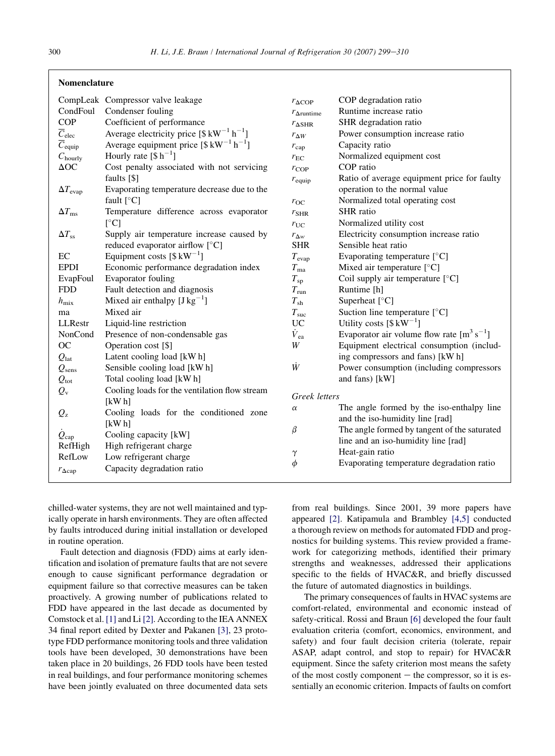#### Nomenclature

|                               | CompLeak Compressor valve leakage               | $r_{\Delta\rm COP}$        | COP degradation ratio                          |
|-------------------------------|-------------------------------------------------|----------------------------|------------------------------------------------|
| CondFoul                      | Condenser fouling                               | $r_{\Delta \text{rutime}}$ | Runtime increase ratio                         |
| <b>COP</b>                    | Coefficient of performance                      | $r_{\Delta \text{SHR}}$    | SHR degradation ratio                          |
| $\overline{C}_{\rm elec}$     | Average electricity price $[\$~kW^{-1}~h^{-1}]$ | $r_{\Delta W}$             | Power consumption increase ratio               |
| $\overline{C}_{\text{equip}}$ | Average equipment price $[\$~kW^{-1}~h^{-1}]$   | $r_{\rm cap}$              | Capacity ratio                                 |
| $C_{\text{hourly}}$           | Hourly rate $[\$h^{-1}]$                        | $r_{\rm EC}$               | Normalized equipment cost                      |
| $\Delta \text{OC}$            | Cost penalty associated with not servicing      | $r_{\rm COP}$              | COP ratio                                      |
|                               | faults [\$]                                     | $r_{\rm equip}$            | Ratio of average equipment price for faulty    |
| $\Delta T_{\text{evap}}$      | Evaporating temperature decrease due to the     |                            | operation to the normal value                  |
|                               | fault $\lceil$ <sup>o</sup> Cl                  | $r_{OC}$                   | Normalized total operating cost                |
| $\Delta T_{\rm ms}$           | Temperature difference across evaporator        | $r_{\text{SHR}}$           | SHR ratio                                      |
|                               | $\lceil$ °C]                                    | $r_{\text{UC}}$            | Normalized utility cost                        |
| $\Delta T_{ss}$               | Supply air temperature increase caused by       | $r_{\Delta w}$             | Electricity consumption increase ratio         |
|                               | reduced evaporator airflow $[°C]$               | <b>SHR</b>                 | Sensible heat ratio                            |
| EC                            | Equipment costs $[\$ \text{kW}^{-1}]$           | $T_{\text{evap}}$          | Evaporating temperature $[°C]$                 |
| <b>EPDI</b>                   | Economic performance degradation index          | $T_{\rm ma}$               | Mixed air temperature $[°C]$                   |
| EvapFoul                      | Evaporator fouling                              | $T_{\rm sp}$               | Coil supply air temperature $[°C]$             |
| <b>FDD</b>                    | Fault detection and diagnosis                   | $T_{\rm run}$              | Runtime [h]                                    |
| $h_{\text{mix}}$              | Mixed air enthalpy $[J kg^{-1}]$                | $T_{\rm sh}$               | Superheat [°C]                                 |
| ma                            | Mixed air                                       | $T_{\rm suc}$              | Suction line temperature [°C]                  |
| LLRestr                       | Liquid-line restriction                         | UC.                        | Utility costs $[$ kW^{-1}]$                    |
| NonCond                       | Presence of non-condensable gas                 | $\dot{V}_{\rm ea}$         | Evaporator air volume flow rate $[m^3 s^{-1}]$ |
| OC                            | Operation cost [\$]                             | W                          | Equipment electrical consumption (includ-      |
| $Q_{\text{lat}}$              | Latent cooling load [kW h]                      |                            | ing compressors and fans) [kW h]               |
| $Q_{\rm sens}$                | Sensible cooling load [kW h]                    | Ŵ                          | Power consumption (including compressors       |
| $Q_{\text{tot}}$              | Total cooling load [kW h]                       |                            | and fans) [kW]                                 |
| $Q_{\rm v}$                   | Cooling loads for the ventilation flow stream   | Greek letters              |                                                |
|                               | [kW h]                                          |                            | The angle formed by the iso-enthalpy line      |
| $Q_{\rm z}$                   | Cooling loads for the conditioned zone          | $\alpha$                   | and the iso-humidity line [rad]                |
|                               | [kW h]                                          |                            | The angle formed by tangent of the saturated   |
| $Q_{cap}$                     | Cooling capacity [kW]                           | $\beta$                    |                                                |
| RefHigh                       | High refrigerant charge                         |                            | line and an iso-humidity line [rad]            |
| RefLow                        | Low refrigerant charge                          | $\gamma$                   | Heat-gain ratio                                |
| $r_{\Delta cap}$              | Capacity degradation ratio                      | $\phi$                     | Evaporating temperature degradation ratio      |
|                               |                                                 |                            |                                                |

chilled-water systems, they are not well maintained and typically operate in harsh environments. They are often affected by faults introduced during initial installation or developed in routine operation.

Fault detection and diagnosis (FDD) aims at early identification and isolation of premature faults that are not severe enough to cause significant performance degradation or equipment failure so that corrective measures can be taken proactively. A growing number of publications related to FDD have appeared in the last decade as documented by Comstock et al. [\[1\]](#page-11-0) and Li [\[2\]](#page-11-0). According to the IEA ANNEX 34 final report edited by Dexter and Pakanen [\[3\]](#page-11-0), 23 prototype FDD performance monitoring tools and three validation tools have been developed, 30 demonstrations have been taken place in 20 buildings, 26 FDD tools have been tested in real buildings, and four performance monitoring schemes have been jointly evaluated on three documented data sets from real buildings. Since 2001, 39 more papers have appeared [\[2\].](#page-11-0) Katipamula and Brambley [\[4,5\]](#page-11-0) conducted a thorough review on methods for automated FDD and prognostics for building systems. This review provided a framework for categorizing methods, identified their primary strengths and weaknesses, addressed their applications specific to the fields of HVAC&R, and briefly discussed the future of automated diagnostics in buildings.

The primary consequences of faults in HVAC systems are comfort-related, environmental and economic instead of safety-critical. Rossi and Braun [\[6\]](#page-11-0) developed the four fault evaluation criteria (comfort, economics, environment, and safety) and four fault decision criteria (tolerate, repair ASAP, adapt control, and stop to repair) for HVAC&R equipment. Since the safety criterion most means the safety of the most costly component  $-$  the compressor, so it is essentially an economic criterion. Impacts of faults on comfort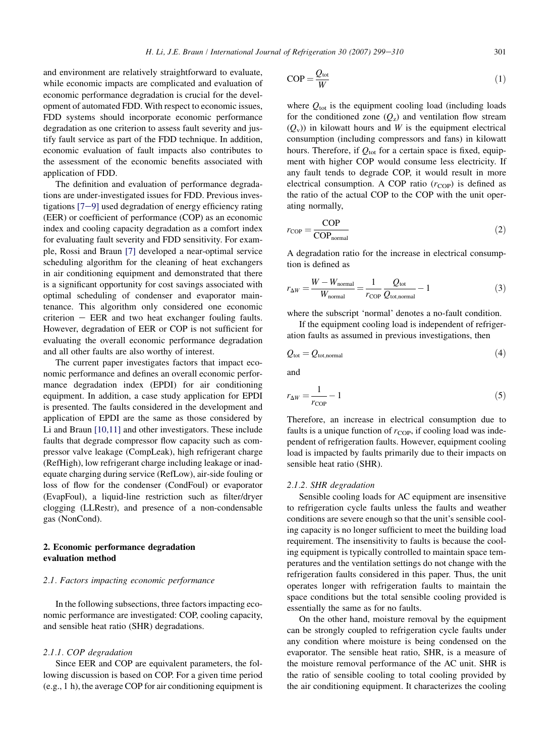<span id="page-2-0"></span>and environment are relatively straightforward to evaluate, while economic impacts are complicated and evaluation of economic performance degradation is crucial for the development of automated FDD. With respect to economic issues, FDD systems should incorporate economic performance degradation as one criterion to assess fault severity and justify fault service as part of the FDD technique. In addition, economic evaluation of fault impacts also contributes to the assessment of the economic benefits associated with application of FDD.

The definition and evaluation of performance degradations are under-investigated issues for FDD. Previous investigations  $[7-9]$  $[7-9]$  used degradation of energy efficiency rating (EER) or coefficient of performance (COP) as an economic index and cooling capacity degradation as a comfort index for evaluating fault severity and FDD sensitivity. For example, Rossi and Braun [\[7\]](#page-11-0) developed a near-optimal service scheduling algorithm for the cleaning of heat exchangers in air conditioning equipment and demonstrated that there is a significant opportunity for cost savings associated with optimal scheduling of condenser and evaporator maintenance. This algorithm only considered one economic  $criterion$  – EER and two heat exchanger fouling faults. However, degradation of EER or COP is not sufficient for evaluating the overall economic performance degradation and all other faults are also worthy of interest.

The current paper investigates factors that impact economic performance and defines an overall economic performance degradation index (EPDI) for air conditioning equipment. In addition, a case study application for EPDI is presented. The faults considered in the development and application of EPDI are the same as those considered by Li and Braun [\[10,11\]](#page-11-0) and other investigators. These include faults that degrade compressor flow capacity such as compressor valve leakage (CompLeak), high refrigerant charge (RefHigh), low refrigerant charge including leakage or inadequate charging during service (RefLow), air-side fouling or loss of flow for the condenser (CondFoul) or evaporator (EvapFoul), a liquid-line restriction such as filter/dryer clogging (LLRestr), and presence of a non-condensable gas (NonCond).

## 2. Economic performance degradation evaluation method

#### 2.1. Factors impacting economic performance

In the following subsections, three factors impacting economic performance are investigated: COP, cooling capacity, and sensible heat ratio (SHR) degradations.

#### 2.1.1. COP degradation

Since EER and COP are equivalent parameters, the following discussion is based on COP. For a given time period (e.g., 1 h), the average COP for air conditioning equipment is

$$
COP = \frac{Q_{\text{tot}}}{W} \tag{1}
$$

where  $Q_{\text{tot}}$  is the equipment cooling load (including loads for the conditioned zone  $(Q_z)$  and ventilation flow stream  $(Q_v)$ ) in kilowatt hours and W is the equipment electrical consumption (including compressors and fans) in kilowatt hours. Therefore, if  $Q_{\text{tot}}$  for a certain space is fixed, equipment with higher COP would consume less electricity. If any fault tends to degrade COP, it would result in more electrical consumption. A COP ratio  $(r_{\text{COP}})$  is defined as the ratio of the actual COP to the COP with the unit operating normally,

$$
r_{\rm COP} = \frac{\rm COP}{\rm COP_{\rm normal}}\tag{2}
$$

A degradation ratio for the increase in electrical consumption is defined as

$$
r_{\Delta W} = \frac{W - W_{\text{normal}}}{W_{\text{normal}}} = \frac{1}{r_{\text{COP}}} \frac{Q_{\text{tot}}}{Q_{\text{tot,normal}}} - 1
$$
 (3)

where the subscript 'normal' denotes a no-fault condition.

If the equipment cooling load is independent of refrigeration faults as assumed in previous investigations, then

$$
Q_{\text{tot}} = Q_{\text{tot,normal}} \tag{4}
$$

and

$$
r_{\Delta W} = \frac{1}{r_{\rm COP}} - 1\tag{5}
$$

Therefore, an increase in electrical consumption due to faults is a unique function of  $r_{\text{COP}}$ , if cooling load was independent of refrigeration faults. However, equipment cooling load is impacted by faults primarily due to their impacts on sensible heat ratio (SHR).

#### 2.1.2. SHR degradation

Sensible cooling loads for AC equipment are insensitive to refrigeration cycle faults unless the faults and weather conditions are severe enough so that the unit's sensible cooling capacity is no longer sufficient to meet the building load requirement. The insensitivity to faults is because the cooling equipment is typically controlled to maintain space temperatures and the ventilation settings do not change with the refrigeration faults considered in this paper. Thus, the unit operates longer with refrigeration faults to maintain the space conditions but the total sensible cooling provided is essentially the same as for no faults.

On the other hand, moisture removal by the equipment can be strongly coupled to refrigeration cycle faults under any condition where moisture is being condensed on the evaporator. The sensible heat ratio, SHR, is a measure of the moisture removal performance of the AC unit. SHR is the ratio of sensible cooling to total cooling provided by the air conditioning equipment. It characterizes the cooling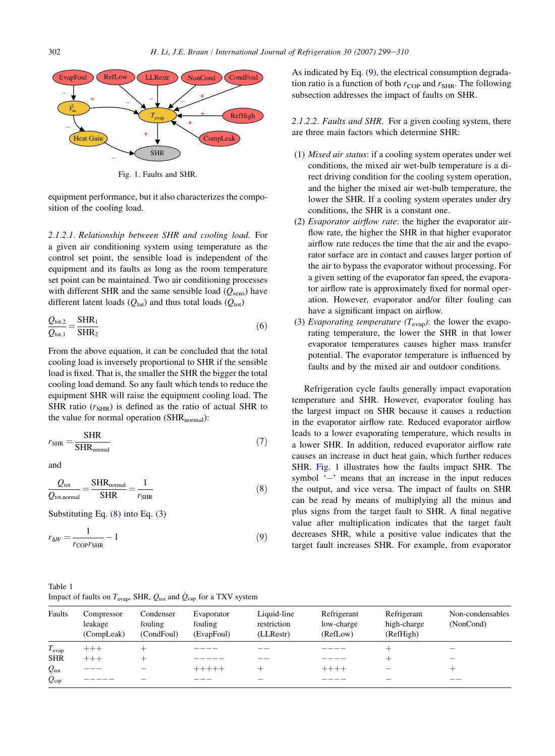<span id="page-3-0"></span>

Fig. 1. Faults and SHR.

equipment performance, but it also characterizes the composition of the cooling load.

2.1.2.1. Relationship between SHR and cooling load. For a given air conditioning system using temperature as the control set point, the sensible load is independent of the equipment and its faults as long as the room temperature set point can be maintained. Two air conditioning processes with different SHR and the same sensible load  $(Q_{\text{sens}})$  have different latent loads  $(Q_{\text{lat}})$  and thus total loads  $(Q_{\text{tot}})$ 

$$
\frac{Q_{\text{tot},2}}{Q_{\text{tot},1}} = \frac{\text{SHR}_1}{\text{SHR}_2} \tag{6}
$$

From the above equation, it can be concluded that the total cooling load is inversely proportional to SHR if the sensible load is fixed. That is, the smaller the SHR the bigger the total cooling load demand. So any fault which tends to reduce the equipment SHR will raise the equipment cooling load. The SHR ratio  $(r<sub>SHR</sub>)$  is defined as the ratio of actual SHR to the value for normal operation  $(SHR_{normal})$ :

$$
r_{\text{SHR}} = \frac{\text{SHR}}{\text{SHR}_{\text{normal}}} \tag{7}
$$

and

Table 1

$$
\frac{Q_{\text{tot}}}{Q_{\text{tot,normal}}} = \frac{\text{SHR}_{\text{normal}}}{\text{SHR}} = \frac{1}{r_{\text{SHR}}} \tag{8}
$$

Substituting Eq. (8) into Eq. [\(3\)](#page-2-0)

$$
r_{\Delta W} = \frac{1}{r_{\text{COP}} r_{\text{SHR}}} - 1\tag{9}
$$

Impact of faults on  $T_{evap}$ , SHR,  $Q_{\text{tot}}$  and  $Q_{\text{cap}}$  for a TXV system

As indicated by Eq. (9), the electrical consumption degradation ratio is a function of both  $r_{\text{COP}}$  and  $r_{\text{SHR}}$ . The following subsection addresses the impact of faults on SHR.

2.1.2.2. Faults and SHR. For a given cooling system, there are three main factors which determine SHR:

- (1) Mixed air status: if a cooling system operates under wet conditions, the mixed air wet-bulb temperature is a direct driving condition for the cooling system operation, and the higher the mixed air wet-bulb temperature, the lower the SHR. If a cooling system operates under dry conditions, the SHR is a constant one.
- (2) Evaporator airflow rate: the higher the evaporator airflow rate, the higher the SHR in that higher evaporator airflow rate reduces the time that the air and the evaporator surface are in contact and causes larger portion of the air to bypass the evaporator without processing. For a given setting of the evaporator fan speed, the evaporator airflow rate is approximately fixed for normal operation. However, evaporator and/or filter fouling can have a significant impact on airflow.
- (3) Evaporating temperature ( $T_{\text{evap}}$ ): the lower the evaporating temperature, the lower the SHR in that lower evaporator temperatures causes higher mass transfer potential. The evaporator temperature is influenced by faults and by the mixed air and outdoor conditions.

Refrigeration cycle faults generally impact evaporation temperature and SHR. However, evaporator fouling has the largest impact on SHR because it causes a reduction in the evaporator airflow rate. Reduced evaporator airflow leads to a lower evaporating temperature, which results in a lower SHR. In addition, reduced evaporator airflow rate causes an increase in duct heat gain, which further reduces SHR. Fig. 1 illustrates how the faults impact SHR. The symbol '-' means that an increase in the input reduces the output, and vice versa. The impact of faults on SHR can be read by means of multiplying all the minus and plus signs from the target fault to SHR. A final negative value after multiplication indicates that the target fault decreases SHR, while a positive value indicates that the target fault increases SHR. For example, from evaporator

| Faults           | Compressor<br>leakage<br>(CompLeak) | Condenser<br>fouling<br>(CondFoul) | Evaporator<br>fouling<br>(EvapFoul) | Liquid-line<br>restriction<br>(LLRestr) | Refrigerant<br>low-charge<br>(RefLow) | Refrigerant<br>high-charge<br>(RefHigh) | Non-condensables<br>(NonCond) |
|------------------|-------------------------------------|------------------------------------|-------------------------------------|-----------------------------------------|---------------------------------------|-----------------------------------------|-------------------------------|
| $T_{\rm evap}$   | $+++$                               |                                    | ___                                 |                                         |                                       |                                         |                               |
| <b>SHR</b>       | $+++$                               |                                    |                                     |                                         |                                       |                                         |                               |
| $Q_{\text{tot}}$ |                                     |                                    | $+++++$                             |                                         | ----                                  |                                         |                               |
| $Q_{\rm cap}$    |                                     |                                    |                                     |                                         |                                       |                                         |                               |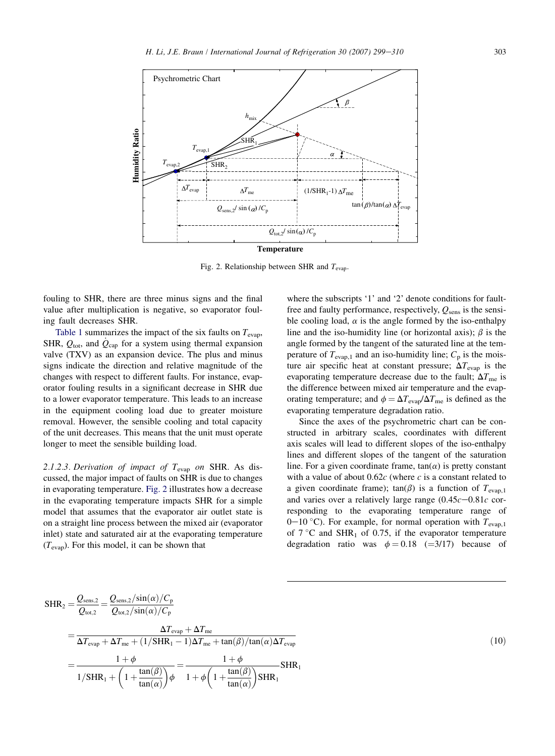

Fig. 2. Relationship between SHR and  $T_{evap}$ .

fouling to SHR, there are three minus signs and the final value after multiplication is negative, so evaporator fouling fault decreases SHR.

[Table 1](#page-3-0) summarizes the impact of the six faults on  $T_{\text{evan}}$ , SHR,  $Q_{\text{tot}}$ , and  $Q_{\text{cap}}$  for a system using thermal expansion valve (TXV) as an expansion device. The plus and minus signs indicate the direction and relative magnitude of the changes with respect to different faults. For instance, evaporator fouling results in a significant decrease in SHR due to a lower evaporator temperature. This leads to an increase in the equipment cooling load due to greater moisture removal. However, the sensible cooling and total capacity of the unit decreases. This means that the unit must operate longer to meet the sensible building load.

2.1.2.3. Derivation of impact of  $T_{evap}$  on SHR. As discussed, the major impact of faults on SHR is due to changes in evaporating temperature. Fig. 2 illustrates how a decrease in the evaporating temperature impacts SHR for a simple model that assumes that the evaporator air outlet state is on a straight line process between the mixed air (evaporator inlet) state and saturated air at the evaporating temperature  $(T_{evap})$ . For this model, it can be shown that

where the subscripts '1' and '2' denote conditions for faultfree and faulty performance, respectively,  $Q_{\rm sens}$  is the sensible cooling load,  $\alpha$  is the angle formed by the iso-enthalpy line and the iso-humidity line (or horizontal axis);  $\beta$  is the angle formed by the tangent of the saturated line at the temperature of  $T_{\text{evap},1}$  and an iso-humidity line;  $C_p$  is the moisture air specific heat at constant pressure;  $\Delta T_{\text{evap}}$  is the evaporating temperature decrease due to the fault;  $\Delta T_{\text{me}}$  is the difference between mixed air temperature and the evaporating temperature; and  $\phi = \Delta T_{evap}/\Delta T_{me}$  is defined as the evaporating temperature degradation ratio.

Since the axes of the psychrometric chart can be constructed in arbitrary scales, coordinates with different axis scales will lead to different slopes of the iso-enthalpy lines and different slopes of the tangent of the saturation line. For a given coordinate frame,  $tan(\alpha)$  is pretty constant with a value of about  $0.62c$  (where c is a constant related to a given coordinate frame); tan( $\beta$ ) is a function of  $T_{\text{evan},1}$ and varies over a relatively large range  $(0.45c - 0.81c$  corresponding to the evaporating temperature range of 0-10 °C). For example, for normal operation with  $T_{evap,1}$ of  $7^{\circ}$ C and SHR<sub>1</sub> of 0.75, if the evaporator temperature degradation ratio was  $\phi = 0.18$  (=3/17) because of

$$
SHR_{2} = \frac{Q_{\text{sens},2}}{Q_{\text{tot},2}} = \frac{Q_{\text{sens},2}/\sin(\alpha)/C_{p}}{Q_{\text{tot},2}/\sin(\alpha)/C_{p}}
$$
  
= 
$$
\frac{\Delta T_{\text{evap}} + \Delta T_{\text{me}}}{\Delta T_{\text{evap}} + \Delta T_{\text{me}} + (1/\text{SHR}_{1} - 1)\Delta T_{\text{me}} + \tan(\beta)/\tan(\alpha)\Delta T_{\text{evap}}}
$$
  
= 
$$
\frac{1 + \phi}{1/\text{SHR}_{1} + \left(1 + \frac{\tan(\beta)}{\tan(\alpha)}\right)\phi} = \frac{1 + \phi}{1 + \phi\left(1 + \frac{\tan(\beta)}{\tan(\alpha)}\right)\text{SHR}_{1}}
$$
(10)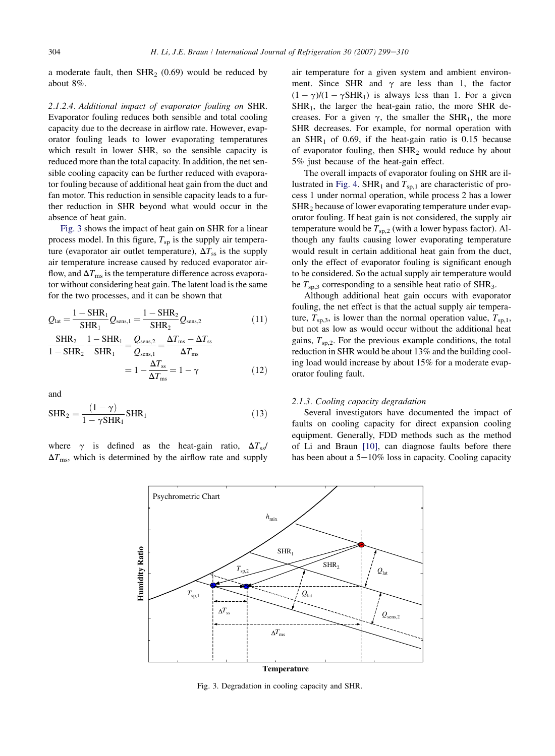a moderate fault, then  $SHR<sub>2</sub>$  (0.69) would be reduced by about 8%.

2.1.2.4. Additional impact of evaporator fouling on SHR. Evaporator fouling reduces both sensible and total cooling capacity due to the decrease in airflow rate. However, evaporator fouling leads to lower evaporating temperatures which result in lower SHR, so the sensible capacity is reduced more than the total capacity. In addition, the net sensible cooling capacity can be further reduced with evaporator fouling because of additional heat gain from the duct and fan motor. This reduction in sensible capacity leads to a further reduction in SHR beyond what would occur in the absence of heat gain.

Fig. 3 shows the impact of heat gain on SHR for a linear process model. In this figure,  $T_{sp}$  is the supply air temperature (evaporator air outlet temperature),  $\Delta T_{ss}$  is the supply air temperature increase caused by reduced evaporator airflow, and  $\Delta T_{\text{ms}}$  is the temperature difference across evaporator without considering heat gain. The latent load is the same for the two processes, and it can be shown that

$$
Q_{\text{lat}} = \frac{1 - \text{SHR}_1}{\text{SHR}_1} Q_{\text{sens},1} = \frac{1 - \text{SHR}_2}{\text{SHR}_2} Q_{\text{sens},2}
$$
(11)

$$
\frac{\text{SHR}_2}{1-\text{SHR}_2} \frac{1-\text{SHR}_1}{\text{SHR}_1} = \frac{Q_{\text{sens},2}}{Q_{\text{sens},1}} = \frac{\Delta T_{\text{ms}} - \Delta T_{\text{ss}}}{\Delta T_{\text{ms}}} = 1 - \frac{\Delta T_{\text{ss}}}{\Delta T_{\text{ms}}} = 1 - \gamma
$$
(12)

and

$$
SHR_2 = \frac{(1 - \gamma)}{1 - \gamma SHR_1} SHR_1
$$
\n(13)

where  $\gamma$  is defined as the heat-gain ratio,  $\Delta T_{\rm ss}$ /  $\Delta T_{\text{ms}}$ , which is determined by the airflow rate and supply air temperature for a given system and ambient environment. Since SHR and  $\gamma$  are less than 1, the factor  $(1 - \gamma)/(1 - \gamma \text{SHR}_1)$  is always less than 1. For a given  $SHR<sub>1</sub>$ , the larger the heat-gain ratio, the more SHR decreases. For a given  $\gamma$ , the smaller the SHR<sub>1</sub>, the more SHR decreases. For example, for normal operation with an  $SHR<sub>1</sub>$  of 0.69, if the heat-gain ratio is 0.15 because of evaporator fouling, then  $SHR<sub>2</sub>$  would reduce by about 5% just because of the heat-gain effect.

The overall impacts of evaporator fouling on SHR are il-lustrated in [Fig. 4.](#page-6-0)  $SHR_1$  and  $T_{sp,1}$  are characteristic of process 1 under normal operation, while process 2 has a lower SHR<sub>2</sub> because of lower evaporating temperature under evaporator fouling. If heat gain is not considered, the supply air temperature would be  $T_{sp,2}$  (with a lower bypass factor). Although any faults causing lower evaporating temperature would result in certain additional heat gain from the duct, only the effect of evaporator fouling is significant enough to be considered. So the actual supply air temperature would be  $T_{\rm SD,3}$  corresponding to a sensible heat ratio of SHR<sub>3</sub>.

Although additional heat gain occurs with evaporator fouling, the net effect is that the actual supply air temperature,  $T_{\text{sp,3}}$ , is lower than the normal operation value,  $T_{\text{sp,1}}$ , but not as low as would occur without the additional heat gains,  $T_{sp,2}$ . For the previous example conditions, the total reduction in SHR would be about 13% and the building cooling load would increase by about 15% for a moderate evaporator fouling fault.

#### 2.1.3. Cooling capacity degradation

Several investigators have documented the impact of faults on cooling capacity for direct expansion cooling equipment. Generally, FDD methods such as the method of Li and Braun [\[10\],](#page-11-0) can diagnose faults before there has been about a  $5-10\%$  loss in capacity. Cooling capacity



Fig. 3. Degradation in cooling capacity and SHR.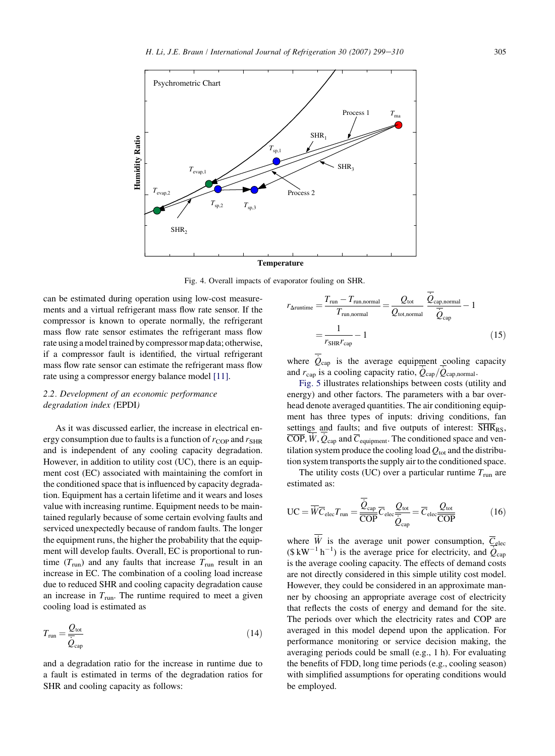<span id="page-6-0"></span>

Fig. 4. Overall impacts of evaporator fouling on SHR.

can be estimated during operation using low-cost measurements and a virtual refrigerant mass flow rate sensor. If the compressor is known to operate normally, the refrigerant mass flow rate sensor estimates the refrigerant mass flow rate using a model trained by compressor map data; otherwise, if a compressor fault is identified, the virtual refrigerant mass flow rate sensor can estimate the refrigerant mass flow rate using a compressor energy balance model [\[11\]](#page-11-0).

## 2.2. Development of an economic performance degradation index (EPDI)

As it was discussed earlier, the increase in electrical energy consumption due to faults is a function of  $r_{\text{COP}}$  and  $r_{\text{SHR}}$ and is independent of any cooling capacity degradation. However, in addition to utility cost (UC), there is an equipment cost (EC) associated with maintaining the comfort in the conditioned space that is influenced by capacity degradation. Equipment has a certain lifetime and it wears and loses value with increasing runtime. Equipment needs to be maintained regularly because of some certain evolving faults and serviced unexpectedly because of random faults. The longer the equipment runs, the higher the probability that the equipment will develop faults. Overall, EC is proportional to runtime  $(T_{run})$  and any faults that increase  $T_{run}$  result in an increase in EC. The combination of a cooling load increase due to reduced SHR and cooling capacity degradation cause an increase in  $T_{\text{run}}$ . The runtime required to meet a given cooling load is estimated as

$$
T_{\rm run} = \frac{Q_{\rm tot}}{\dot{Q}_{\rm cap}}\tag{14}
$$

and a degradation ratio for the increase in runtime due to a fault is estimated in terms of the degradation ratios for SHR and cooling capacity as follows:

$$
r_{\text{Aruntime}} = \frac{T_{\text{run}} - T_{\text{run,normal}}}{T_{\text{run,normal}}} = \frac{Q_{\text{tot}}}{Q_{\text{tot,normal}}} \frac{\overline{Q}_{\text{cap,normal}}}{\overline{Q}_{\text{cap}}} - 1
$$

$$
= \frac{1}{r_{\text{SHR}} r_{\text{cap}}} - 1 \tag{15}
$$

where  $\dot{Q}_{\text{cap}}$  is the average equipment cooling capacity and  $r_{\text{cap}}$  is a cooling capacity ratio,  $\dot{Q}_{\text{cap}}/\dot{Q}_{\text{cap,normal}}$ .

[Fig. 5](#page-7-0) illustrates relationships between costs (utility and energy) and other factors. The parameters with a bar overhead denote averaged quantities. The air conditioning equipment has three types of inputs: driving conditions, fan settings and faults; and five outputs of interest:  $\overline{\text{SHR}}_{\text{RS}}$ ,  $\overline{COP}$ ,  $\dot{W}$ ,  $\dot{Q}_{cap}$  and  $\overline{C}_{equipment}$ . The conditioned space and ventilation system produce the cooling load  $Q_{\text{tot}}$  and the distribution system transports the supply air to the conditioned space.

The utility costs (UC) over a particular runtime  $T_{\text{run}}$  are estimated as:

$$
\text{UC} = \overline{\dot{W}} \overline{\dot{C}}_{\text{elec}} T_{\text{run}} = \frac{\overline{\dot{Q}}_{\text{cap}}}{\overline{\text{COP}}} \overline{\dot{C}}_{\text{elec}} \frac{\underline{Q}_{\text{tot}}}{\overline{\dot{Q}}_{\text{cap}}} = \overline{\dot{C}}_{\text{elec}} \frac{\underline{Q}_{\text{tot}}}{\overline{\text{COP}}} \tag{16}
$$

where  $\overline{W}$  is the average unit power consumption,  $\overline{C}_{\text{elec}}$  $(\text{\$kW}^{-1} \text{h}^{-1})$  is the average price for electricity, and  $\dot{Q}_{\text{cap}}$ is the average cooling capacity. The effects of demand costs are not directly considered in this simple utility cost model. However, they could be considered in an approximate manner by choosing an appropriate average cost of electricity that reflects the costs of energy and demand for the site. The periods over which the electricity rates and COP are averaged in this model depend upon the application. For performance monitoring or service decision making, the averaging periods could be small (e.g., 1 h). For evaluating the benefits of FDD, long time periods (e.g., cooling season) with simplified assumptions for operating conditions would be employed.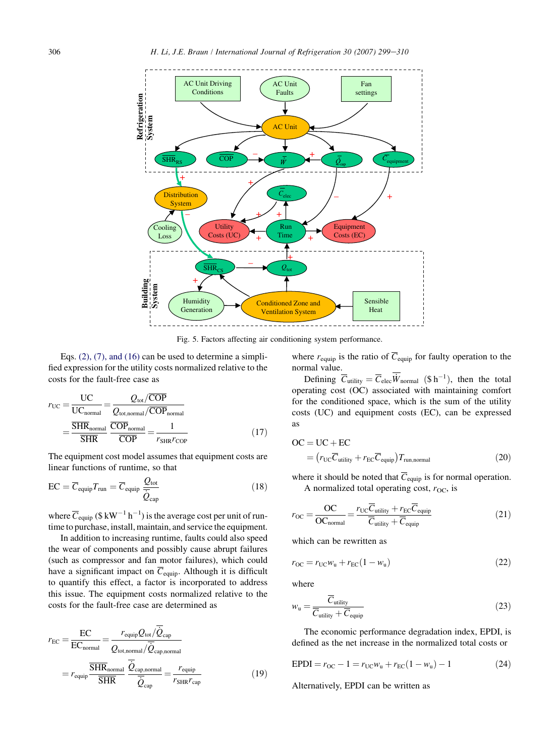<span id="page-7-0"></span>

Fig. 5. Factors affecting air conditioning system performance.

Eqs. [\(2\), \(7\), and \(16\)](#page-2-0) can be used to determine a simplified expression for the utility costs normalized relative to the costs for the fault-free case as

$$
r_{\text{UC}} = \frac{\text{UC}}{\text{UC}_{\text{normal}}} = \frac{Q_{\text{tot}} / \overline{\text{COP}}}{\frac{Q_{\text{tot,normal}}}{\overline{\text{GOP}}_{\text{normal}}} / \overline{\text{COP}}_{\text{normal}}}
$$

$$
= \frac{\overline{\text{SHR}_{\text{normal}}}}{\overline{\text{SHR}}} \frac{\overline{\text{COP}}_{\text{normal}}}{\overline{\text{COP}}} = \frac{1}{r_{\text{SHR}} r_{\text{COP}}}
$$
(17)

The equipment cost model assumes that equipment costs are linear functions of runtime, so that

$$
EC = \overline{C}_{\text{equip}} T_{\text{run}} = \overline{C}_{\text{equip}} \frac{Q_{\text{tot}}}{\overline{Q}_{\text{cap}}} \tag{18}
$$

where  $\overline{C}_{\text{equip}}$  (\$ kW<sup>-1</sup> h<sup>-1</sup>) is the average cost per unit of runtime to purchase, install, maintain, and service the equipment.

In addition to increasing runtime, faults could also speed the wear of components and possibly cause abrupt failures (such as compressor and fan motor failures), which could have a significant impact on  $\overline{C}_{\text{equip}}$ . Although it is difficult to quantify this effect, a factor is incorporated to address this issue. The equipment costs normalized relative to the costs for the fault-free case are determined as

$$
r_{\rm EC} = \frac{\rm EC}{\rm EC_{normal}} = \frac{r_{\rm equip} Q_{\rm tot}/\overline{Q}_{\rm cap}}{Q_{\rm tot,normal}/\overline{Q}_{\rm cap,normal}}
$$

$$
= r_{\rm equip} \frac{\overline{\rm SHR}_{\rm normal}}{\overline{\rm SHR}} \frac{\overline{Q}_{\rm cap,normal}}{\overline{Q}_{\rm cap}} = \frac{r_{\rm equip}}{r_{\rm SHR} r_{\rm cap}} \tag{19}
$$

where  $r_{\text{equip}}$  is the ratio of  $\overline{C}_{\text{equip}}$  for faulty operation to the normal value.

Defining  $\overline{C}_{utility} = \overline{C}_{elec} \dot{W}_{normal}$  (\$ h<sup>-1</sup>), then the total operating cost (OC) associated with maintaining comfort for the conditioned space, which is the sum of the utility costs (UC) and equipment costs (EC), can be expressed as

$$
OC = UC + EC
$$
  
=  $(r_{UC}\overline{C}_{utility} + r_{EC}\overline{C}_{equip})T_{run,normal}$  (20)

where it should be noted that  $\overline{C}_{\text{equip}}$  is for normal operation. A normalized total operating cost,  $r_{\rm OC}$ , is

$$
r_{\rm OC} = \frac{\rm OC}{\rm OC_{normal}} = \frac{r_{\rm UC}\overline{C}_{\rm utility} + r_{\rm EC}\overline{C}_{\rm equip}}{\overline{C}_{\rm utility} + \overline{C}_{\rm equip}}
$$
(21)

which can be rewritten as

$$
r_{\rm OC} = r_{\rm UC} w_{\rm u} + r_{\rm EC} (1 - w_{\rm u}) \tag{22}
$$

where

$$
w_{\rm u} = \frac{\overline{C}_{\rm utility}}{\overline{C}_{\rm utility} + \overline{C}_{\rm equip}}\tag{23}
$$

The economic performance degradation index, EPDI, is defined as the net increase in the normalized total costs or

$$
EPDI = r_{OC} - 1 = r_{UC}w_{u} + r_{EC}(1 - w_{u}) - 1
$$
\n(24)

Alternatively, EPDI can be written as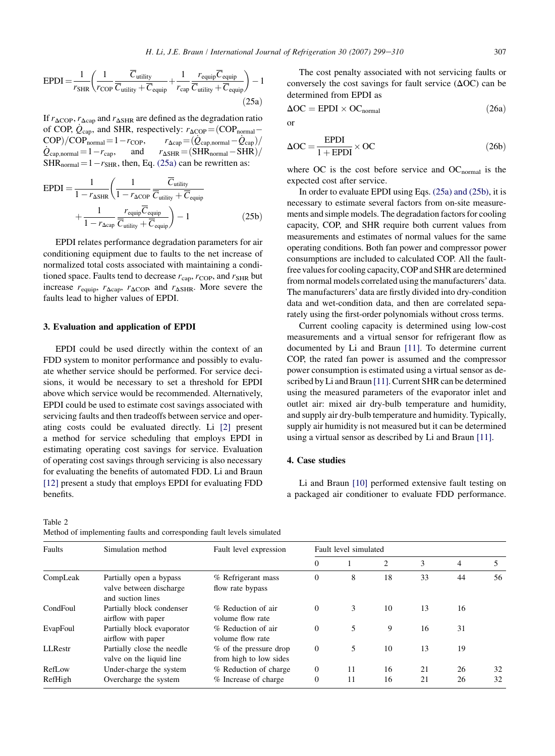<span id="page-8-0"></span>
$$
EPDI = \frac{1}{r_{SHR}} \left( \frac{1}{r_{COP}} \frac{\overline{C}_{utility}}{\overline{C}_{utility} + \overline{C}_{equip}} + \frac{1}{r_{cap}} \frac{r_{equip}\overline{C}_{equip}}{\overline{C}_{utility} + \overline{C}_{equip}} \right) - 1
$$
\n(25a)

If  $r_{\Delta\text{COP}}$ ,  $r_{\Delta\text{cap}}$  and  $r_{\Delta\text{SHR}}$  are defined as the degradation ratio of COP,  $\dot{Q}_{\text{cap}}$ , and SHR, respectively:  $r_{\Delta\text{COP}} = (\text{COP}_{\text{normal}} COP$ <sub>normal</sub> $=1-r_{COP}$ ,  $r_{\text{COP}}, \qquad r_{\Delta \text{cap}} = (\dot{Q}_{\text{cap,normal}} - \dot{Q}_{\text{cap}})/\dot{Q}_{\text{cap}}$  $\dot{Q}_{\text{cap,normal}} = 1 - r_{\text{cap}},$  $r_{\text{cap}}$ , and  $r_{\Delta \text{SHR}} = (\text{SHR}_{\text{normal}} - \text{SHR})/$  $SHR_{normal} = 1 - r_{SHR}$ , then, Eq. (25a) can be rewritten as:

$$
EPDI = \frac{1}{1 - r_{\Delta SHR}} \left( \frac{1}{1 - r_{\Delta COP}} \frac{\overline{C}_{utility}}{\overline{C}_{utility} + \overline{C}_{equip}} + \frac{1}{1 - r_{\Delta cap}} \frac{r_{equip}}{\overline{C}_{utility} + \overline{C}_{equip}} \right) - 1
$$
(25b)

EPDI relates performance degradation parameters for air conditioning equipment due to faults to the net increase of normalized total costs associated with maintaining a conditioned space. Faults tend to decrease  $r_{cap}$ ,  $r_{COP}$ , and  $r_{SHR}$  but increase  $r_{\text{equip}}$ ,  $r_{\Delta \text{cap}}$ ,  $r_{\Delta \text{COP}}$ , and  $r_{\Delta \text{SHR}}$ . More severe the faults lead to higher values of EPDI.

## 3. Evaluation and application of EPDI

EPDI could be used directly within the context of an FDD system to monitor performance and possibly to evaluate whether service should be performed. For service decisions, it would be necessary to set a threshold for EPDI above which service would be recommended. Alternatively, EPDI could be used to estimate cost savings associated with servicing faults and then tradeoffs between service and operating costs could be evaluated directly. Li [\[2\]](#page-11-0) present a method for service scheduling that employs EPDI in estimating operating cost savings for service. Evaluation of operating cost savings through servicing is also necessary for evaluating the benefits of automated FDD. Li and Braun [\[12\]](#page-11-0) present a study that employs EPDI for evaluating FDD benefits.

The cost penalty associated with not servicing faults or conversely the cost savings for fault service  $(\Delta OC)$  can be determined from EPDI as

$$
\Delta OC = EPDI \times OC_{normal} \tag{26a}
$$

or

$$
\Delta \text{OC} = \frac{\text{EPDI}}{1 + \text{EPDI}} \times \text{OC}
$$
 (26b)

where OC is the cost before service and  $OC_{normal}$  is the expected cost after service.

In order to evaluate EPDI using Eqs. (25a) and (25b), it is necessary to estimate several factors from on-site measurements and simple models. The degradation factors for cooling capacity, COP, and SHR require both current values from measurements and estimates of normal values for the same operating conditions. Both fan power and compressor power consumptions are included to calculated COP. All the faultfree values for cooling capacity, COP and SHR are determined from normal models correlated using the manufacturers' data. The manufacturers' data are firstly divided into dry-condition data and wet-condition data, and then are correlated separately using the first-order polynomials without cross terms.

Current cooling capacity is determined using low-cost measurements and a virtual sensor for refrigerant flow as documented by Li and Braun [\[11\].](#page-11-0) To determine current COP, the rated fan power is assumed and the compressor power consumption is estimated using a virtual sensor as described by Li and Braun [\[11\]](#page-11-0). Current SHR can be determined using the measured parameters of the evaporator inlet and outlet air: mixed air dry-bulb temperature and humidity, and supply air dry-bulb temperature and humidity. Typically, supply air humidity is not measured but it can be determined using a virtual sensor as described by Li and Braun [\[11\].](#page-11-0)

#### 4. Case studies

Li and Braun [\[10\]](#page-11-0) performed extensive fault testing on a packaged air conditioner to evaluate FDD performance.

Table 2

|  |  |  |  |  | Method of implementing faults and corresponding fault levels simulated |  |
|--|--|--|--|--|------------------------------------------------------------------------|--|
|  |  |  |  |  |                                                                        |  |

| Faults         | Simulation method                                                       | Fault level expression                           | Fault level simulated |    |                |    |    |    |  |
|----------------|-------------------------------------------------------------------------|--------------------------------------------------|-----------------------|----|----------------|----|----|----|--|
|                |                                                                         |                                                  | $\mathbf{0}$          |    | $\overline{2}$ | 3  | 4  |    |  |
| CompLeak       | Partially open a bypass<br>valve between discharge<br>and suction lines | % Refrigerant mass<br>flow rate bypass           | $\mathbf{0}$          | 8  | 18             | 33 | 44 | 56 |  |
| CondFoul       | Partially block condenser<br>airflow with paper                         | % Reduction of air<br>volume flow rate           | $\Omega$              | 3  | 10             | 13 | 16 |    |  |
| EvapFoul       | Partially block evaporator<br>airflow with paper                        | % Reduction of air<br>volume flow rate           | $\Omega$              | 5  | 9              | 16 | 31 |    |  |
| <b>LLRestr</b> | Partially close the needle<br>valve on the liquid line                  | % of the pressure drop<br>from high to low sides | $\mathbf{0}$          | 5  | 10             | 13 | 19 |    |  |
| RefLow         | Under-charge the system                                                 | % Reduction of charge                            | $\mathbf{0}$          | 11 | 16             | 21 | 26 | 32 |  |
| RefHigh        | Overcharge the system                                                   | % Increase of charge                             | $\mathbf{0}$          | 11 | 16             | 21 | 26 | 32 |  |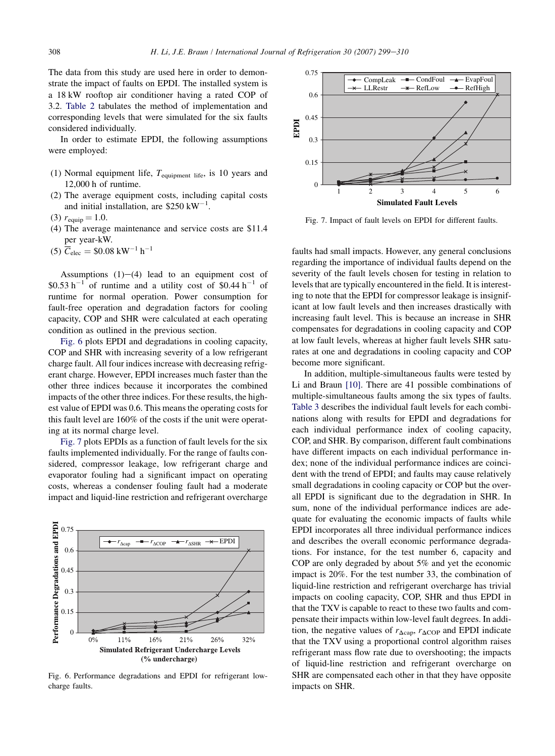The data from this study are used here in order to demonstrate the impact of faults on EPDI. The installed system is a 18 kW rooftop air conditioner having a rated COP of 3.2. [Table 2](#page-8-0) tabulates the method of implementation and corresponding levels that were simulated for the six faults considered individually.

In order to estimate EPDI, the following assumptions were employed:

- (1) Normal equipment life,  $T_{\text{equipment life}}$ , is 10 years and 12,000 h of runtime.
- (2) The average equipment costs, including capital costs and initial installation, are  $$250 \text{ kW}^{-1}$ .
- (3)  $r_{\text{equip}} = 1.0$ .
- (4) The average maintenance and service costs are \$11.4 per year-kW.
- (5)  $\overline{C}_{\text{elec}} = $0.08 \text{ kW}^{-1} \text{ h}^{-1}$

Assumptions  $(1)$ - $(4)$  lead to an equipment cost of  $$0.53 h^{-1}$  of runtime and a utility cost of  $$0.44 h^{-1}$  of runtime for normal operation. Power consumption for fault-free operation and degradation factors for cooling capacity, COP and SHR were calculated at each operating condition as outlined in the previous section.

Fig. 6 plots EPDI and degradations in cooling capacity, COP and SHR with increasing severity of a low refrigerant charge fault. All four indices increase with decreasing refrigerant charge. However, EPDI increases much faster than the other three indices because it incorporates the combined impacts of the other three indices. For these results, the highest value of EPDI was 0.6. This means the operating costs for this fault level are 160% of the costs if the unit were operating at its normal charge level.

Fig. 7 plots EPDIs as a function of fault levels for the six faults implemented individually. For the range of faults considered, compressor leakage, low refrigerant charge and evaporator fouling had a significant impact on operating costs, whereas a condenser fouling fault had a moderate impact and liquid-line restriction and refrigerant overcharge



Fig. 6. Performance degradations and EPDI for refrigerant lowcharge faults.



Fig. 7. Impact of fault levels on EPDI for different faults.

faults had small impacts. However, any general conclusions regarding the importance of individual faults depend on the severity of the fault levels chosen for testing in relation to levels that are typically encountered in the field. It is interesting to note that the EPDI for compressor leakage is insignificant at low fault levels and then increases drastically with increasing fault level. This is because an increase in SHR compensates for degradations in cooling capacity and COP at low fault levels, whereas at higher fault levels SHR saturates at one and degradations in cooling capacity and COP become more significant.

In addition, multiple-simultaneous faults were tested by Li and Braun [\[10\].](#page-11-0) There are 41 possible combinations of multiple-simultaneous faults among the six types of faults. [Table 3](#page-10-0) describes the individual fault levels for each combinations along with results for EPDI and degradations for each individual performance index of cooling capacity, COP, and SHR. By comparison, different fault combinations have different impacts on each individual performance index; none of the individual performance indices are coincident with the trend of EPDI; and faults may cause relatively small degradations in cooling capacity or COP but the overall EPDI is significant due to the degradation in SHR. In sum, none of the individual performance indices are adequate for evaluating the economic impacts of faults while EPDI incorporates all three individual performance indices and describes the overall economic performance degradations. For instance, for the test number 6, capacity and COP are only degraded by about 5% and yet the economic impact is 20%. For the test number 33, the combination of liquid-line restriction and refrigerant overcharge has trivial impacts on cooling capacity, COP, SHR and thus EPDI in that the TXV is capable to react to these two faults and compensate their impacts within low-level fault degrees. In addition, the negative values of  $r_{\Delta cap}$ ,  $r_{\Delta COP}$  and EPDI indicate that the TXV using a proportional control algorithm raises refrigerant mass flow rate due to overshooting; the impacts of liquid-line restriction and refrigerant overcharge on SHR are compensated each other in that they have opposite impacts on SHR.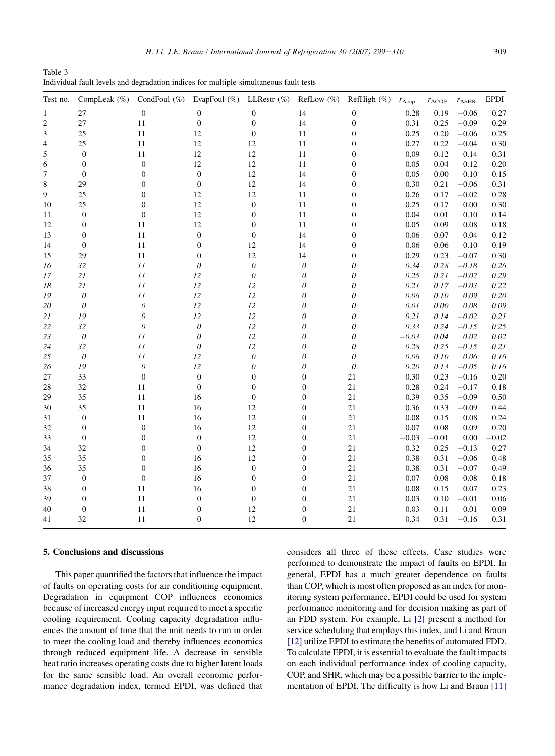<span id="page-10-0"></span>Table 3 Individual fault levels and degradation indices for multiple-simultaneous fault tests

| Test no. | CompLeak (%)          | CondFoul (%)      | EvapFoul (%)          | LLRestr $(\%)$   | RefLow $(\% )$        | RefHigh (%)      | $r_{\Delta {\rm cap}}$ | $r_{\Delta\text{COP}}$ | $r_{\Delta \text{SHR}}$ | <b>EPDI</b> |
|----------|-----------------------|-------------------|-----------------------|------------------|-----------------------|------------------|------------------------|------------------------|-------------------------|-------------|
| 1        | 27                    | $\boldsymbol{0}$  | $\boldsymbol{0}$      | $\boldsymbol{0}$ | 14                    | $\boldsymbol{0}$ | 0.28                   | 0.19                   | $-0.06$                 | 0.27        |
| 2        | 27                    | 11                | $\boldsymbol{0}$      | $\boldsymbol{0}$ | 14                    | $\boldsymbol{0}$ | 0.31                   | 0.25                   | $-0.09$                 | 0.29        |
| 3        | 25                    | 11                | 12                    | $\boldsymbol{0}$ | 11                    | $\boldsymbol{0}$ | 0.25                   | 0.20                   | $-0.06$                 | 0.25        |
| 4        | 25                    | 11                | 12                    | 12               | 11                    | $\boldsymbol{0}$ | 0.27                   | 0.22                   | $-0.04$                 | 0.3C        |
| 5        | $\overline{0}$        | 11                | 12                    | 12               | 11                    | $\overline{0}$   | 0.09                   | 0.12                   | 0.14                    | 0.31        |
| 6        | $\mathbf{0}$          | $\boldsymbol{0}$  | 12                    | 12               | 11                    | $\boldsymbol{0}$ | 0.05                   | 0.04                   | 0.12                    | 0.2C        |
| 7        | $\overline{0}$        | $\boldsymbol{0}$  | $\boldsymbol{0}$      | 12               | 14                    | $\boldsymbol{0}$ | 0.05                   | 0.00                   | 0.10                    | 0.15        |
| 8        | 29                    | $\boldsymbol{0}$  | $\boldsymbol{0}$      | 12               | 14                    | $\boldsymbol{0}$ | 0.30                   | 0.21                   | $-0.06$                 | 0.31        |
| 9        | 25                    | $\overline{0}$    | 12                    | 12               | 11                    | $\boldsymbol{0}$ | 0.26                   | 0.17                   | $-0.02$                 | 0.28        |
| 10       | 25                    | $\boldsymbol{0}$  | 12                    | $\boldsymbol{0}$ | 11                    | $\boldsymbol{0}$ | 0.25                   | 0.17                   | 0.00                    | 0.3C        |
| 11       | $\boldsymbol{0}$      | $\boldsymbol{0}$  | 12                    | $\boldsymbol{0}$ | 11                    | $\boldsymbol{0}$ | 0.04                   | 0.01                   | 0.10                    | 0.14        |
| 12       | $\boldsymbol{0}$      | 11                | 12                    | $\boldsymbol{0}$ | 11                    | $\boldsymbol{0}$ | 0.05                   | 0.09                   | 0.08                    | 0.18        |
| 13       | $\mathbf{0}$          | 11                | $\boldsymbol{0}$      | $\boldsymbol{0}$ | 14                    | $\boldsymbol{0}$ | 0.06                   | 0.07                   | 0.04                    | 0.12        |
| 14       | $\overline{0}$        | 11                | $\overline{0}$        | 12               | 14                    | $\overline{0}$   | 0.06                   | 0.06                   | 0.10                    | 0.19        |
| 15       | 29                    | 11                | $\boldsymbol{0}$      | 12               | 14                    | $\boldsymbol{0}$ | 0.29                   | 0.23                   | $-0.07$                 | 0.3C        |
| 16       | 32                    | 11                | $\theta$              | $\mathcal O$     | $\boldsymbol{\theta}$ | 0                | 0.34                   | 0.28                   | $-0.18$                 | 0.26        |
| 17       | 21                    | 11                | 12                    | $\mathcal O$     | $\theta$              | 0                | 0.25                   | 0.21                   | $-0.02$                 | 0.29        |
| 18       | 21                    | 11                | 12                    | 12               | 0                     | 0                | 0.21                   | 0.17                   | $-0.03$                 | 0.22        |
| 19       | $\theta$              | 11                | 12                    | 12               | $\theta$              | 0                | 0.06                   | 0.10                   | 0.09                    | 0.20        |
| 20       | $\theta$              | $\mathcal O$      | 12                    | 12               | $\theta$              | 0                | 0.01                   | 0.00                   | 0.08                    | 0.09        |
| 21       | 19                    | $\theta$          | 12                    | 12               | $\theta$              | $\theta$         | 0.21                   | 0.14                   | $-0.02$                 | 0.21        |
| 22       | 32                    | $\theta$          | $\boldsymbol{\theta}$ | 12               | $\theta$              | 0                | 0.33                   | 0.24                   | $-0.15$                 | 0.25        |
| 23       | $\theta$              | 11                | $\theta$              | 12               | $\theta$              | 0                | $-0.03$                | 0.04                   | 0.02                    | 0.02        |
| 24       | 32                    | $\cal{I} \cal{I}$ | $\theta$              | 12               | $\theta$              | 0                | 0.28                   | 0.25                   | $-0.15$                 | 0.21        |
| 25       | $\boldsymbol{\theta}$ | 11                | 12                    | $\mathcal O$     | $\boldsymbol{\theta}$ | $\theta$         | 0.06                   | 0.10                   | 0.06                    | 0.16        |
| 26       | 19                    | $\theta$          | 12                    | $\theta$         | $\theta$              | $\theta$         | 0.20                   | 0.13                   | $-0.05$                 | 0.16        |
| 27       | 33                    | $\boldsymbol{0}$  | $\boldsymbol{0}$      | $\boldsymbol{0}$ | $\mathbf{0}$          | 21               | 0.30                   | 0.23                   | $-0.16$                 | 0.2C        |
| 28       | 32                    | 11                | $\overline{0}$        | $\boldsymbol{0}$ | $\boldsymbol{0}$      | 21               | 0.28                   | 0.24                   | $-0.17$                 | 0.18        |
| 29       | 35                    | 11                | 16                    | $\boldsymbol{0}$ | $\boldsymbol{0}$      | 21               | 0.39                   | 0.35                   | $-0.09$                 | 0.5C        |
| 30       | 35                    | 11                | 16                    | 12               | $\boldsymbol{0}$      | 21               | 0.36                   | 0.33                   | $-0.09$                 | 0.44        |
| 31       | $\mathbf{0}$          | 11                | 16                    | 12               | $\boldsymbol{0}$      | 21               | 0.08                   | 0.15                   | 0.08                    | 0.24        |
| 32       | $\boldsymbol{0}$      | $\boldsymbol{0}$  | 16                    | 12               | $\boldsymbol{0}$      | 21               | 0.07                   | 0.08                   | 0.09                    | 0.2C        |
| 33       | $\overline{0}$        | $\mathbf{0}$      | $\boldsymbol{0}$      | 12               | $\overline{0}$        | 21               | $-0.03$                | $-0.01$                | 0.00                    | $-0.02$     |
| 34       | 32                    | $\mathbf{0}$      | $\boldsymbol{0}$      | 12               | $\boldsymbol{0}$      | 21               | 0.32                   | 0.25                   | $-0.13$                 | 0.27        |
| 35       | 35                    | $\mathbf{0}$      | 16                    | 12               | $\mathbf{0}$          | 21               | 0.38                   | 0.31                   | $-0.06$                 | 0.48        |
| 36       | 35                    | $\boldsymbol{0}$  | 16                    | $\boldsymbol{0}$ | $\boldsymbol{0}$      | 21               | 0.38                   | 0.31                   | $-0.07$                 | 0.49        |
| 37       | $\boldsymbol{0}$      | $\mathbf{0}$      | 16                    | $\boldsymbol{0}$ | $\mathbf{0}$          | 21               | 0.07                   | 0.08                   | 0.08                    | 0.18        |
| 38       | $\boldsymbol{0}$      | 11                | 16                    | $\boldsymbol{0}$ | $\boldsymbol{0}$      | 21               | 0.08                   | 0.15                   | 0.07                    | 0.23        |
| 39       | $\Omega$              | 11                | $\boldsymbol{0}$      | $\boldsymbol{0}$ | $\mathbf{0}$          | 21               | 0.03                   | 0.10                   | $-0.01$                 | 0.06        |
| 40       | $\boldsymbol{0}$      | 11                | $\boldsymbol{0}$      | 12               | $\boldsymbol{0}$      | 21               | 0.03                   | 0.11                   | 0.01                    | 0.09        |
| 41       | 32                    | 11                | $\overline{0}$        | 12               | $\boldsymbol{0}$      | 21               | 0.34                   | 0.31                   | $-0.16$                 | 0.31        |

## 5. Conclusions and discussions

This paper quantified the factors that influence the impact of faults on operating costs for air conditioning equipment. Degradation in equipment COP influences economics because of increased energy input required to meet a specific cooling requirement. Cooling capacity degradation influences the amount of time that the unit needs to run in order to meet the cooling load and thereby influences economics through reduced equipment life. A decrease in sensible heat ratio increases operating costs due to higher latent loads for the same sensible load. An overall economic performance degradation index, termed EPDI, was defined that considers all three of these effects. Case studies were performed to demonstrate the impact of faults on EPDI. In general, EPDI has a much greater dependence on faults than COP, which is most often proposed as an index for monitoring system performance. EPDI could be used for system performance monitoring and for decision making as part of an FDD system. For example, Li [\[2\]](#page-11-0) present a method for service scheduling that employs this index, and Li and Braun [\[12\]](#page-11-0) utilize EPDI to estimate the benefits of automated FDD. To calculate EPDI, it is essential to evaluate the fault impacts on each individual performance index of cooling capacity, COP, and SHR, which may be a possible barrier to the implementation of EPDI. The difficulty is how Li and Braun [\[11\]](#page-11-0)